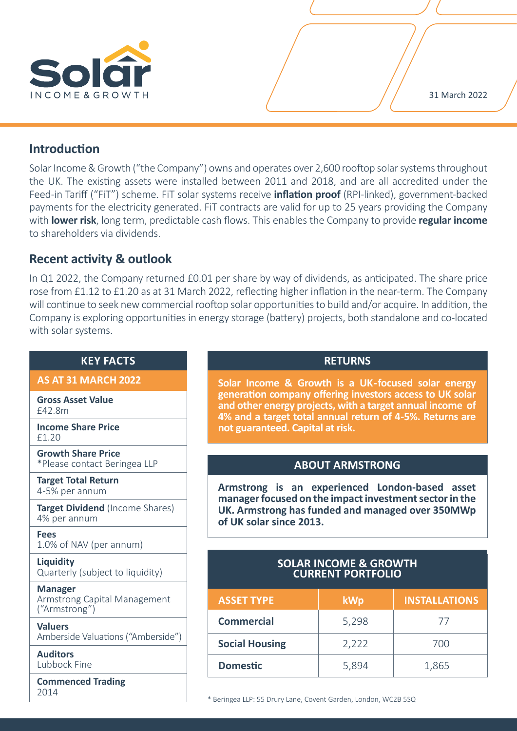

# **Introduction**

Solar Income & Growth ("the Company") owns and operates over 2,600 rooftop solar systems throughout the UK. The existing assets were installed between 2011 and 2018, and are all accredited under the Feed-in Tariff ("FiT") scheme. FiT solar systems receive **inflation proof** (RPI-linked), government-backed payments for the electricity generated. FiT contracts are valid for up to 25 years providing the Company with **lower risk**, long term, predictable cash flows. This enables the Company to provide **regular income** to shareholders via dividends.

# **Recent activity & outlook**

In Q1 2022, the Company returned £0.01 per share by way of dividends, as anticipated. The share price rose from £1.12 to £1.20 as at 31 March 2022, reflecting higher inflation in the near-term. The Company will continue to seek new commercial rooftop solar opportunities to build and/or acquire. In addition, the Company is exploring opportunities in energy storage (battery) projects, both standalone and co-located with solar systems.

## **KEY FACTS**

## **AS AT 31 MARCH 2022**

**Gross Asset Value** £42.8m

**Income Share Price** £1.20

**Growth Share Price** \*Please contact Beringea LLP

**Target Total Return** 4-5% per annum

**Target Dividend** (Income Shares) 4% per annum

**Fees** 1.0% of NAV (per annum)

**Liquidity** Quarterly (subject to liquidity)

**Manager** Armstrong Capital Management ("Armstrong")

**Valuers** Amberside Valuations ("Amberside")

**Auditors** Lubbock Fine

**Commenced Trading** 2014

## **RETURNS**

**Solar Income & Growth is a UK-focused solar energy generation company offering investors access to UK solar and other energy projects, with a target annual income of 4% and a target total annual return of 4-5%. Returns are not guaranteed. Capital at risk.**

# **ABOUT ARMSTRONG**

**Armstrong is an experienced London-based asset manager focused on the impact investment sector in the UK. Armstrong has funded and managed over 350MWp of UK solar since 2013.** 

# **SOLAR INCOME & GROWTH CURRENT PORTFOLIO**

| <b>ASSET TYPE</b>     | <b>kWp</b> | <b>INSTALLATIONS</b> |
|-----------------------|------------|----------------------|
| <b>Commercial</b>     | 5,298      | $\prime$             |
| <b>Social Housing</b> | 2,222      | 700                  |
| <b>Domestic</b>       | 5,894      | 1,865                |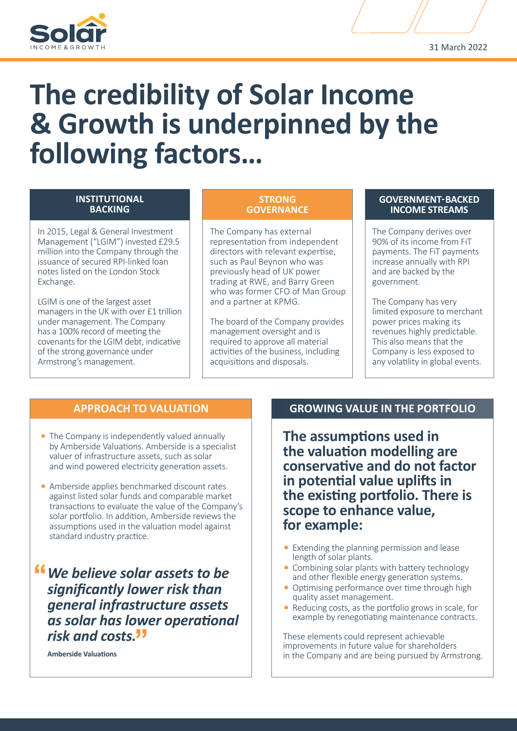

# **The credibility of Solar Income & Growth is underpinned by the following factors…**

#### **INSTITUTIONAL BACKING**

In 2015, Legal & General Investment Management ("LGIM") invested £29.5 million into the Company through the issuance of secured RPI-linked loan notes listed on the London Stock Exchange.

LGIM is one of the largest asset managers in the UK with over £1 trillion under management. The Company has a 100% record of meeting the covenants for the LGIM debt, indicative of the strong governance under Armstrong's management.

#### **STRONG GOVERNANCE**

The Company has external representation from independent directors with relevant expertise, such as Paul Beynon who was previously head of UK power trading at RWE, and Barry Green who was former CFO of Man Group and a partner at KPMG.

The board of the Company provides management oversight and is required to approve all material activities of the business, including acquisitions and disposals.

#### **GOVERNMENT- BACKED INCOME STREAMS**

The Company derives over 90% of its income from FiT payments. The FiT payments increase annually with RPI and are backed by the government.

The Company has very limited exposure to merchant power prices making its revenues highly predictable. This also means that the Company is less exposed to any volatility in global events.

# **APPROACH TO VALUATION**

- The Company is independently valued annually by Amberside Valuations. Amberside is a specialist valuer of infrastructure assets, such as solar and wind powered electricity generation assets.
- Amberside applies benchmarked discount rates against listed solar funds and comparable market transactions to evaluate the value of the Company's solar portfolio. In addition, Amberside reviews the assumptions used in the valuation model against standard industry practice.

*We believe solar assets to be significantly lower risk than general infrastructure assets as solar has lower operational risk and costs.*

**Amberside Valuations**

# **GROWING VALUE IN THE PORTFOLIO**

**The assumptions used in the valuation modelling are conservative and do not factor in potential value uplifts in the existing portfolio. There is scope to enhance value, for example:**

- Extending the planning permission and lease length of solar plants.
- Combining solar plants with battery technology and other flexible energy generation systems.
- Optimising performance over time through high quality asset management.
- Reducing costs, as the portfolio grows in scale, for example by renegotiating maintenance contracts.

These elements could represent achievable improvements in future value for shareholders in the Company and are being pursued by Armstrong.